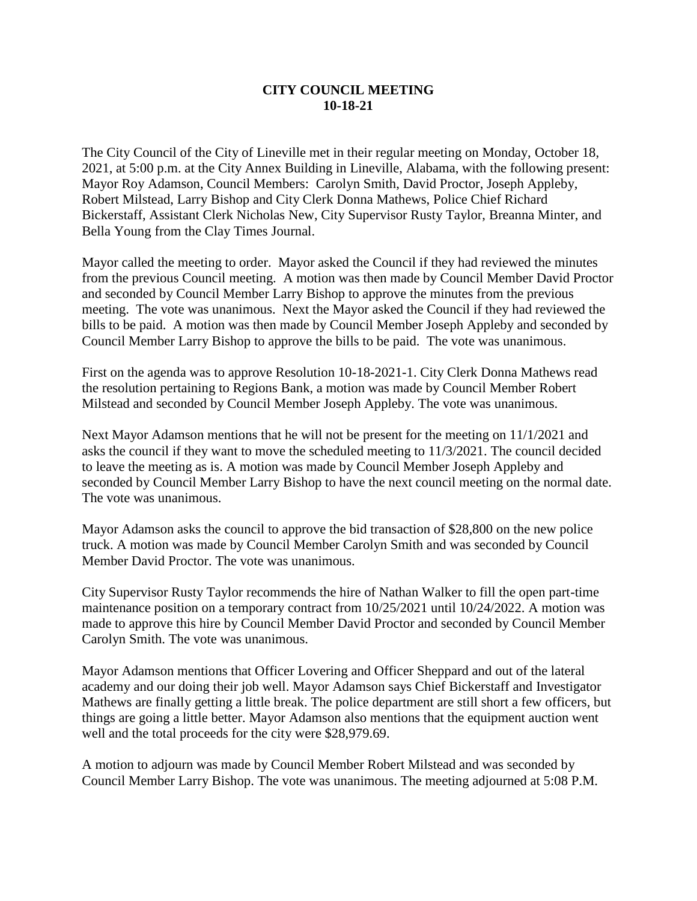## **CITY COUNCIL MEETING 10-18-21**

The City Council of the City of Lineville met in their regular meeting on Monday, October 18, 2021, at 5:00 p.m. at the City Annex Building in Lineville, Alabama, with the following present: Mayor Roy Adamson, Council Members: Carolyn Smith, David Proctor, Joseph Appleby, Robert Milstead, Larry Bishop and City Clerk Donna Mathews, Police Chief Richard Bickerstaff, Assistant Clerk Nicholas New, City Supervisor Rusty Taylor, Breanna Minter, and Bella Young from the Clay Times Journal.

Mayor called the meeting to order. Mayor asked the Council if they had reviewed the minutes from the previous Council meeting. A motion was then made by Council Member David Proctor and seconded by Council Member Larry Bishop to approve the minutes from the previous meeting. The vote was unanimous. Next the Mayor asked the Council if they had reviewed the bills to be paid. A motion was then made by Council Member Joseph Appleby and seconded by Council Member Larry Bishop to approve the bills to be paid. The vote was unanimous.

First on the agenda was to approve Resolution 10-18-2021-1. City Clerk Donna Mathews read the resolution pertaining to Regions Bank, a motion was made by Council Member Robert Milstead and seconded by Council Member Joseph Appleby. The vote was unanimous.

Next Mayor Adamson mentions that he will not be present for the meeting on 11/1/2021 and asks the council if they want to move the scheduled meeting to 11/3/2021. The council decided to leave the meeting as is. A motion was made by Council Member Joseph Appleby and seconded by Council Member Larry Bishop to have the next council meeting on the normal date. The vote was unanimous.

Mayor Adamson asks the council to approve the bid transaction of \$28,800 on the new police truck. A motion was made by Council Member Carolyn Smith and was seconded by Council Member David Proctor. The vote was unanimous.

City Supervisor Rusty Taylor recommends the hire of Nathan Walker to fill the open part-time maintenance position on a temporary contract from 10/25/2021 until 10/24/2022. A motion was made to approve this hire by Council Member David Proctor and seconded by Council Member Carolyn Smith. The vote was unanimous.

Mayor Adamson mentions that Officer Lovering and Officer Sheppard and out of the lateral academy and our doing their job well. Mayor Adamson says Chief Bickerstaff and Investigator Mathews are finally getting a little break. The police department are still short a few officers, but things are going a little better. Mayor Adamson also mentions that the equipment auction went well and the total proceeds for the city were \$28,979.69.

A motion to adjourn was made by Council Member Robert Milstead and was seconded by Council Member Larry Bishop. The vote was unanimous. The meeting adjourned at 5:08 P.M.